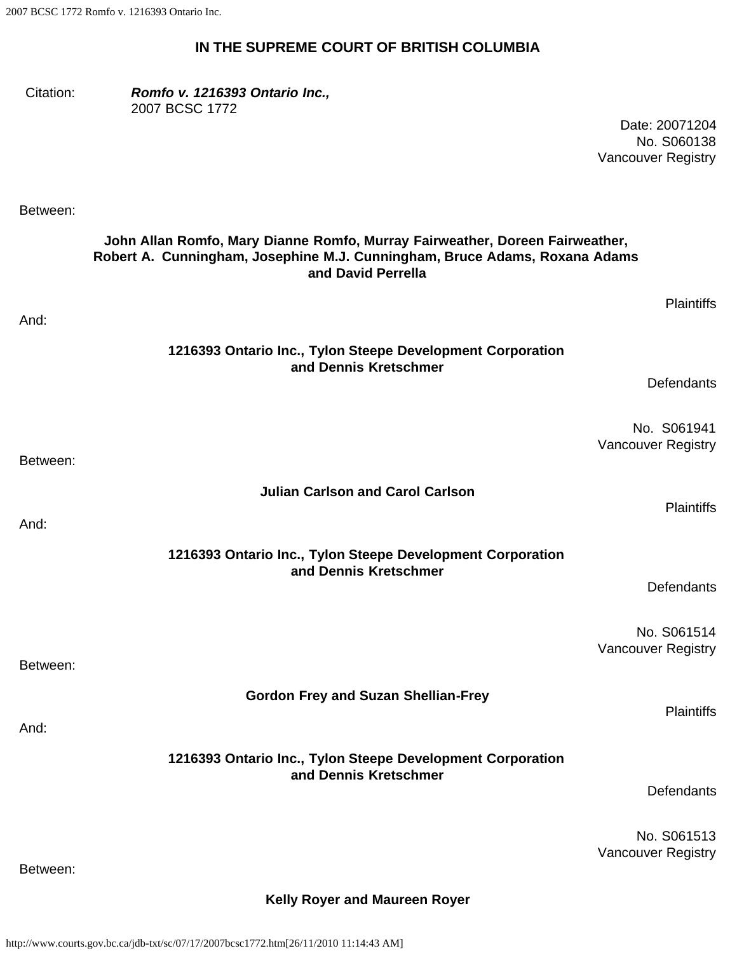## **IN THE SUPREME COURT OF BRITISH COLUMBIA**

| Citation: | Romfo v. 1216393 Ontario Inc.,<br>2007 BCSC 1772                                                                                                                                 | Date: 20071204<br>No. S060138<br><b>Vancouver Registry</b> |
|-----------|----------------------------------------------------------------------------------------------------------------------------------------------------------------------------------|------------------------------------------------------------|
| Between:  |                                                                                                                                                                                  |                                                            |
|           | John Allan Romfo, Mary Dianne Romfo, Murray Fairweather, Doreen Fairweather,<br>Robert A. Cunningham, Josephine M.J. Cunningham, Bruce Adams, Roxana Adams<br>and David Perrella |                                                            |
| And:      |                                                                                                                                                                                  | <b>Plaintiffs</b>                                          |
|           | 1216393 Ontario Inc., Tylon Steepe Development Corporation<br>and Dennis Kretschmer                                                                                              |                                                            |
|           |                                                                                                                                                                                  | Defendants                                                 |
| Between:  |                                                                                                                                                                                  | No. S061941<br><b>Vancouver Registry</b>                   |
|           | <b>Julian Carlson and Carol Carlson</b>                                                                                                                                          |                                                            |
| And:      |                                                                                                                                                                                  | <b>Plaintiffs</b>                                          |
|           | 1216393 Ontario Inc., Tylon Steepe Development Corporation<br>and Dennis Kretschmer                                                                                              | Defendants                                                 |
|           |                                                                                                                                                                                  |                                                            |
| Between:  |                                                                                                                                                                                  | No. S061514<br><b>Vancouver Registry</b>                   |
|           | <b>Gordon Frey and Suzan Shellian-Frey</b>                                                                                                                                       |                                                            |
| And:      |                                                                                                                                                                                  | <b>Plaintiffs</b>                                          |
|           | 1216393 Ontario Inc., Tylon Steepe Development Corporation<br>and Dennis Kretschmer                                                                                              | Defendants                                                 |
|           |                                                                                                                                                                                  |                                                            |
| Between:  |                                                                                                                                                                                  | No. S061513<br><b>Vancouver Registry</b>                   |
|           |                                                                                                                                                                                  |                                                            |

**Kelly Royer and Maureen Royer**

http://www.courts.gov.bc.ca/jdb-txt/sc/07/17/2007bcsc1772.htm[26/11/2010 11:14:43 AM]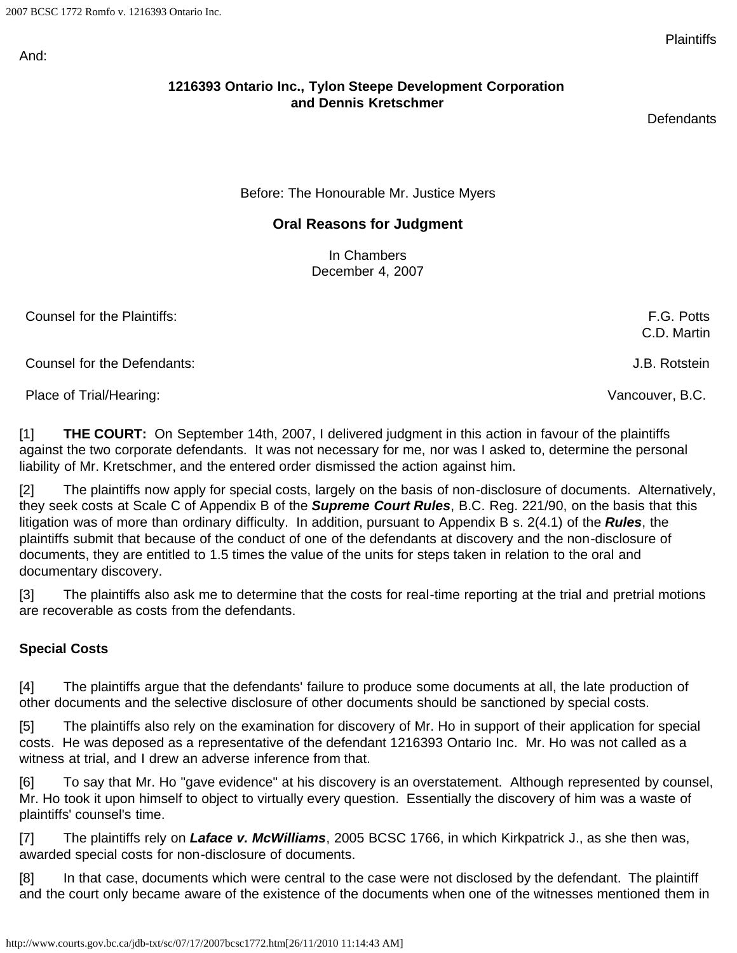And:

## **1216393 Ontario Inc., Tylon Steepe Development Corporation and Dennis Kretschmer**

**Defendants** 

Before: The Honourable Mr. Justice Myers

## **Oral Reasons for Judgment**

In Chambers December 4, 2007

Counsel for the Plaintiffs: F.G. Potts

Counsel for the Defendants: J.B. Rotstein

Place of Trial/Hearing: Vancouver, B.C.

[1] **THE COURT:** On September 14th, 2007, I delivered judgment in this action in favour of the plaintiffs against the two corporate defendants. It was not necessary for me, nor was I asked to, determine the personal liability of Mr. Kretschmer, and the entered order dismissed the action against him.

[2] The plaintiffs now apply for special costs, largely on the basis of non-disclosure of documents. Alternatively, they seek costs at Scale C of Appendix B of the *Supreme Court Rules*, B.C. Reg. 221/90, on the basis that this litigation was of more than ordinary difficulty. In addition, pursuant to Appendix B s. 2(4.1) of the *Rules*, the plaintiffs submit that because of the conduct of one of the defendants at discovery and the non-disclosure of documents, they are entitled to 1.5 times the value of the units for steps taken in relation to the oral and documentary discovery.

[3] The plaintiffs also ask me to determine that the costs for real-time reporting at the trial and pretrial motions are recoverable as costs from the defendants.

#### **Special Costs**

[4] The plaintiffs argue that the defendants' failure to produce some documents at all, the late production of other documents and the selective disclosure of other documents should be sanctioned by special costs.

[5] The plaintiffs also rely on the examination for discovery of Mr. Ho in support of their application for special costs. He was deposed as a representative of the defendant 1216393 Ontario Inc. Mr. Ho was not called as a witness at trial, and I drew an adverse inference from that.

[6] To say that Mr. Ho "gave evidence" at his discovery is an overstatement. Although represented by counsel, Mr. Ho took it upon himself to object to virtually every question. Essentially the discovery of him was a waste of plaintiffs' counsel's time.

[7] The plaintiffs rely on *Laface v. McWilliams*, 2005 BCSC 1766, in which Kirkpatrick J., as she then was, awarded special costs for non-disclosure of documents.

[8] In that case, documents which were central to the case were not disclosed by the defendant. The plaintiff and the court only became aware of the existence of the documents when one of the witnesses mentioned them in

C.D. Martin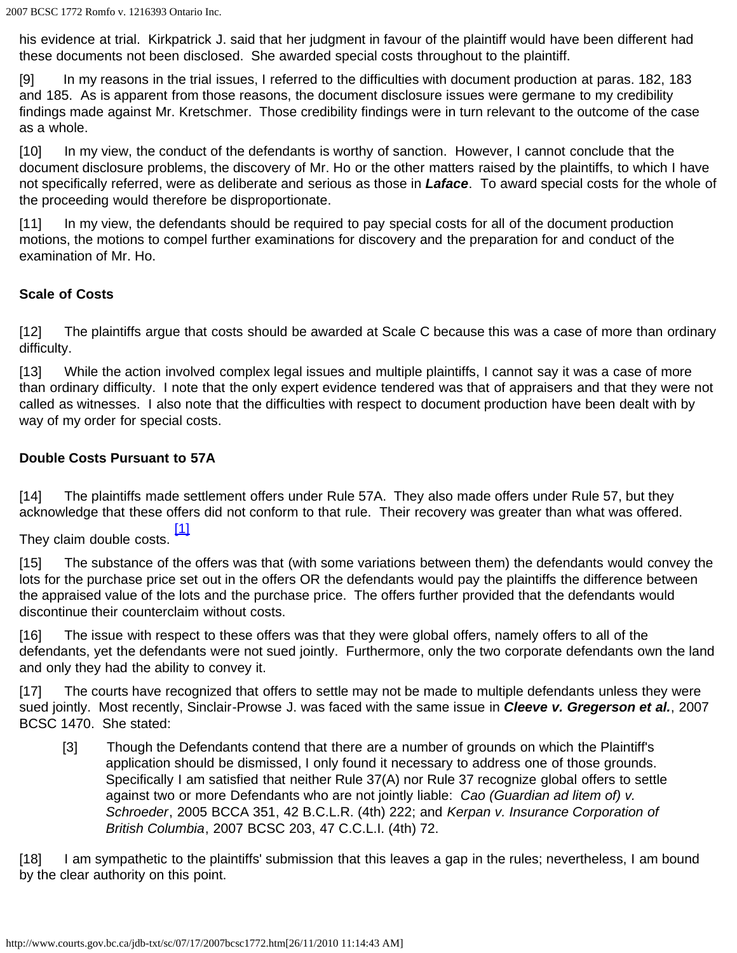his evidence at trial. Kirkpatrick J. said that her judgment in favour of the plaintiff would have been different had these documents not been disclosed. She awarded special costs throughout to the plaintiff.

[9] In my reasons in the trial issues, I referred to the difficulties with document production at paras. 182, 183 and 185. As is apparent from those reasons, the document disclosure issues were germane to my credibility findings made against Mr. Kretschmer. Those credibility findings were in turn relevant to the outcome of the case as a whole.

[10] In my view, the conduct of the defendants is worthy of sanction. However, I cannot conclude that the document disclosure problems, the discovery of Mr. Ho or the other matters raised by the plaintiffs, to which I have not specifically referred, were as deliberate and serious as those in *Laface*. To award special costs for the whole of the proceeding would therefore be disproportionate.

[11] In my view, the defendants should be required to pay special costs for all of the document production motions, the motions to compel further examinations for discovery and the preparation for and conduct of the examination of Mr. Ho.

#### **Scale of Costs**

[12] The plaintiffs argue that costs should be awarded at Scale C because this was a case of more than ordinary difficulty.

[13] While the action involved complex legal issues and multiple plaintiffs, I cannot say it was a case of more than ordinary difficulty. I note that the only expert evidence tendered was that of appraisers and that they were not called as witnesses. I also note that the difficulties with respect to document production have been dealt with by way of my order for special costs.

## **Double Costs Pursuant to 57A**

[14] The plaintiffs made settlement offers under Rule 57A. They also made offers under Rule 57, but they acknowledge that these offers did not conform to that rule. Their recovery was greater than what was offered.

<span id="page-2-0"></span>[\[1\]](#page-3-0)<br>They claim double costs.

[15] The substance of the offers was that (with some variations between them) the defendants would convey the lots for the purchase price set out in the offers OR the defendants would pay the plaintiffs the difference between the appraised value of the lots and the purchase price. The offers further provided that the defendants would discontinue their counterclaim without costs.

[16] The issue with respect to these offers was that they were global offers, namely offers to all of the defendants, yet the defendants were not sued jointly. Furthermore, only the two corporate defendants own the land and only they had the ability to convey it.

[17] The courts have recognized that offers to settle may not be made to multiple defendants unless they were sued jointly. Most recently, Sinclair-Prowse J. was faced with the same issue in *Cleeve v. Gregerson et al.*, 2007 BCSC 1470. She stated:

[3] Though the Defendants contend that there are a number of grounds on which the Plaintiff's application should be dismissed, I only found it necessary to address one of those grounds. Specifically I am satisfied that neither Rule 37(A) nor Rule 37 recognize global offers to settle against two or more Defendants who are not jointly liable: *Cao (Guardian ad litem of) v. Schroeder*, 2005 BCCA 351, 42 B.C.L.R. (4th) 222; and *Kerpan v. Insurance Corporation of British Columbia*, 2007 BCSC 203, 47 C.C.L.I. (4th) 72.

[18] I am sympathetic to the plaintiffs' submission that this leaves a gap in the rules; nevertheless, I am bound by the clear authority on this point.